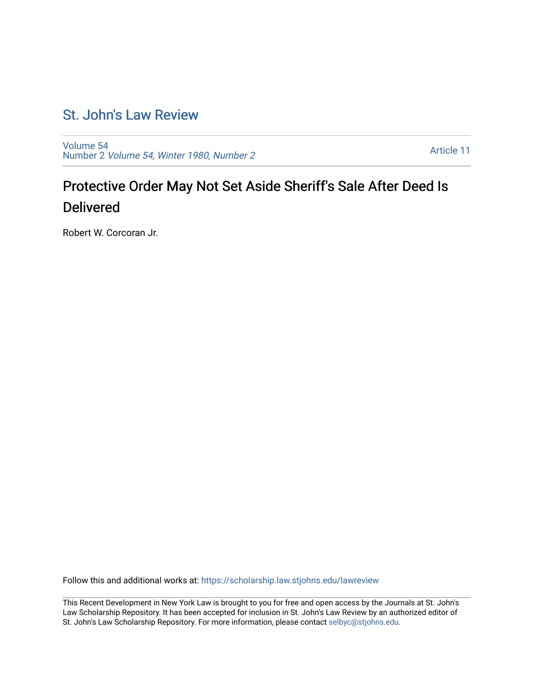## [St. John's Law Review](https://scholarship.law.stjohns.edu/lawreview)

[Volume 54](https://scholarship.law.stjohns.edu/lawreview/vol54) Number 2 [Volume 54, Winter 1980, Number 2](https://scholarship.law.stjohns.edu/lawreview/vol54/iss2)

[Article 11](https://scholarship.law.stjohns.edu/lawreview/vol54/iss2/11) 

## Protective Order May Not Set Aside Sheriff's Sale After Deed Is Delivered

Robert W. Corcoran Jr.

Follow this and additional works at: [https://scholarship.law.stjohns.edu/lawreview](https://scholarship.law.stjohns.edu/lawreview?utm_source=scholarship.law.stjohns.edu%2Flawreview%2Fvol54%2Fiss2%2F11&utm_medium=PDF&utm_campaign=PDFCoverPages) 

This Recent Development in New York Law is brought to you for free and open access by the Journals at St. John's Law Scholarship Repository. It has been accepted for inclusion in St. John's Law Review by an authorized editor of St. John's Law Scholarship Repository. For more information, please contact [selbyc@stjohns.edu](mailto:selbyc@stjohns.edu).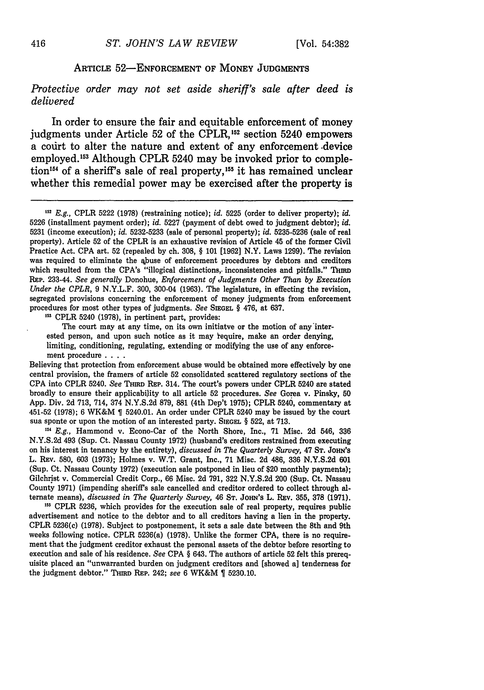## ARTICLE **52-ENFORCEMENT** OF **MONEY JUDGMENTS**

*Protective order may not set aside sheriff's sale after deed is delivered*

In order to ensure the fair and equitable enforcement of money judgments under Article 52 of the CPLR,<sup>152</sup> section 5240 empowers a codrt to alter the nature and extent of any enforcement .device employed.<sup>153</sup> Although CPLR 5240 may be invoked prior to completion<sup>154</sup> of a sheriff's sale of real property,<sup>155</sup> it has remained unclear whether this remedial power may be exercised after the property is

**153** CPLR 5240 (1978), in pertinent part, provides:

The court may at any time, on its own initiatve or the motion of any'interested person, and upon such notice as it may require, make an order denying, limiting, conditioning, regulating, extending or modifying the use of any enforcement procedure **....**

Believing that protection from enforcement abuse would be obtained more effectively by one central provision, the framers of article 52 consolidated scattered regulatory sections of the CPA into CPLR 5240. See THIRD REP. 314. The court's powers under CPLR 5240 are stated broadly to ensure their applicability to all article 52 procedures. *See* Gorea v. Pinsky, **50** App. Div. 2d 713, 714, 374 N.Y.S.2d 879, 881 (4th Dep't 1975); CPLR 5246, commentary at 451-52 (1978); 6 WK&M  $\parallel$  5240.01. An order under CPLR 5240 may be issued by the court sua sponte or upon the motion of an interested party. **SIEGEL** § 522, at 713.

<sup>154</sup> *E.g.*, Hammond v. Econo-Car of the North Shore, Inc., 71 Misc. 2d 546, 336 N.Y.S.2d 493 (Sup. Ct. Nassau County 1972) (husband's creditors restrained from executing on his interest in tenancy by the entirety), *discussed in The Quarterly Survey,* 47 **ST. JOHN'S** L. REv. 580, 603 (1973); Holmes v. W.T. Grant, Inc., 71 Misc. 2d 486, 336 N.Y.S.2d 601 (Sup. Ct. Nassau County 1972) (execution sale postponed in lieu of \$20 monthly payments); Gilchrist v. Commercial Credit Corp., 66 Misc. 2d 791, **322** N.Y.S.2d 200 (Sup. Ct. Nassau County 1971) (impending sheriff's sale cancelled and creditor ordered to collect through alternate means), *discussed in The Quarterly Survey,* 46 **ST.** JoHN's L. REv. **355, 378 (1971).**

<sup>153</sup> CPLR 5236, which provides for the execution sale of real property, requires public advertisement and notice to the debtor and to all creditors having a lien in the property. CPLR 5236(c) (1978). Subject to postponement, it sets a sale date between the 8th and 9th weeks following notice. CPLR 5236(a) (1978). Unlike the former CPA, there is no requirement that the judgment creditor exhaust the personal assets of the debtor before resorting to execution and sale of his residence. *See* CPA § 643. The authors of article 52 felt this prerequisite placed an "unwarranted burden on judgment creditors and [showed a] tenderness for the judgment debtor." THIRD REP. 242; *see* 6 WK&M 5230.10.

*<sup>,52</sup> E.g.,* CPLR 5222 (1978) (restraining notice); *id.* 5225 (order to deliver property); *id.* 5226 (installment payment order); *id.* 5227 (payment of debt owed to judgment debtor); *id.* 5231 (income execution); *id.* 5232-5233 (sale of personal property); *id.* 5235-5236 (sale of real property). Article 52 of the CPLR is an exhaustive revision of Article 45 of the former Civil Practice Act. CPA art. **52** (repealed by ch. 308, § 101 [1962] N.Y. Laws 1299). The revision was required to eliminate the abuse of enforcement procedures by debtors and creditors which resulted from the CPA's "illogical distinctions, inconsistencies and pitfalls." THIRD REP. 233-44. *See generally* Donohue, *Enforcement of Judgments Other Than by Execution Under the CPLR,* 9 N.Y.L.F. 300, 300-04 (1963). The legislature, in effecting the revision, segregated provisions concerning the enforcement of money judgments from enforcement procedures for most other types of judgments. *See* **SIEGEL** § 476, at 637.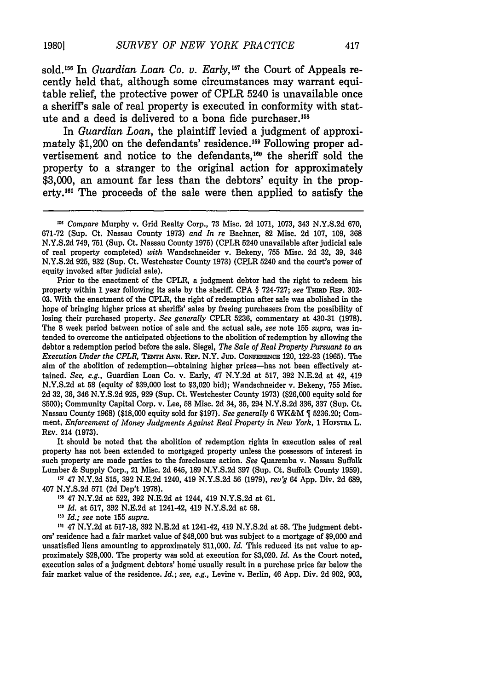sold.<sup>156</sup> In *Guardian Loan Co. v. Early*,<sup>157</sup> the Court of Appeals recently held that, although some circumstances may warrant equitable relief, the protective power of CPLR 5240 is unavailable once a sheriff's sale of real property is executed in conformity with statute and a deed is delivered to a bona fide purchaser.<sup>1</sup>

In *Guardian Loan,* the plaintiff levied a judgment of approximately \$1,200 on the defendants' residence.<sup>159</sup> Following proper advertisement and notice to the defendants.<sup>160</sup> the sheriff sold the property to a stranger to the original action for approximately **\$3,000,** an amount far less than the debtors' equity in the property.<sup>161</sup> The proceeds of the sale were then applied to satisfy the

Prior to the enactment of the CPLR, a judgment debtor had the right to redeem his property within 1 year following its sale **by** the sheriff. **CPA** § **724-727;** see THaw REp. **302- 03.** With the enactment of the CPLR, the right of redemption after sale was abolished in the hope of bringing higher prices at sheriffs' sales **by** freeing purchasers from the possibility of losing their purchased property. *See generally* CPLR **5236,** commentary at 430-31 **(1978).** The **8** week period between notice of sale and the actual sale, *see* note **155** *supra,* was intended to overcome the anticipated objections to the abolition of redemption **by** allowing the debtor a redemption period before the sale. Siegel, *The Sale of Real Property Pursuant to an Execution Under the CPLR,* **TENTH ANN. REP.** N.Y. JuD. **CONFERENCE** 120, **122-23 (1965).** The aim of the abolition of redemption-obtaining higher prices-has not been effectively **at**tained. *See, e.g.,* Guardian Loan Co. v. Early, 47 **N.Y.2d** at **517, 392 N.E.2d** at 42, 419 **N.Y.S.2d** at **58** (equity of **\$39,000** lost to **\$3,020** bid); Wandschneider v. Bekeny, **755** Misc. **2d 32, 36,** 346 **N.Y.S.2d 925, 929** (Sup. Ct. Westchester County **1973)** (\$26,000 equity sold for **\$500);** Community Capital Corp. v. Lee, **58** Misc. 2d 34, **35,** 294 **N.Y.S.2d 336, 337** (Sup. Ct. Nassau County **1968)** (\$18,000 equity sold for **\$197).** *See generally* 6 WK&M **5236.20;** Comment, *Enforcement of Money Judgments Against Real Property in New York,* <sup>1</sup>**HOFSTRA** L. REv. 214 (1973).

It should be noted that the abolition of redemption rights in execution sales of real property has not been extended to mortgaged property unless the possessors of interest in such property are made parties to the foreclosure action. *See* Quaremba v. Nassau Suffolk Lumber & Supply Corp., 21 Misc. 2d 645, 189 N.Y.S.2d 397 (Sup. Ct. Suffolk County 1959).

**'** 47 N.Y.2d 515, 392 N.E.2d 1240, 419 N.Y.S.2d 56 (1979), *rev'g* 64 App. Div. 2d 689, 407 N.Y.S.2d 571 **(2d** Dep't 1978).

' 47 N.Y.2d at 522, 392 N.E.2d at 1244, 419 N.Y.S.2d at 61.

<sup>159</sup> Id. at 517, 392 N.E.2d at 1241-42, 419 N.Y.S.2d at 58.

*' Id.; see* note **155** *supra.*

' 47 N.Y.2d at 517-18, 392 N.E.2d at 1241-42, 419 N.Y.S.2d at **58.** The judgment debtors' residence had a fair market value of \$48,000 but was subject to a mortgage of \$9,000 and unsatisfied liens amounting to approximately \$11,000. *Id.* This reduced its net value to approximately \$28,000. The property was sold at execution for \$3,020. *Id.* As the Court noted, execution sales of a judgment debtors' home usually result in a purchase price far below the fair market value of the residence. *Id.; see, e.g.,* Levine v. Berlin, 46 App. Div. 2d 902, 903,

<sup>&</sup>lt;sup>156</sup> Compare Murphy v. Grid Realty Corp., 73 Misc. 2d 1071, 1073, 343 N.Y.S.2d 670, 671-72 (Sup. Ct. Nassau County 1973) *and In re* Bacher, 82 Misc. 2d 107, 109, 368 N.Y.S.2d 749, 751 (Sup. Ct. Nassau County 1975) (CPLR 5240 unavailable after judicial sale of real property completed) *with* Wandschneider v. Bekeny, 755 Misc. 2d 32, 39, 346 N.Y.S.2d 925, 932 (Sup. Ct. Westchester County 1973) (CPLR 5240 and the court's power of equity invoked after judicial sale).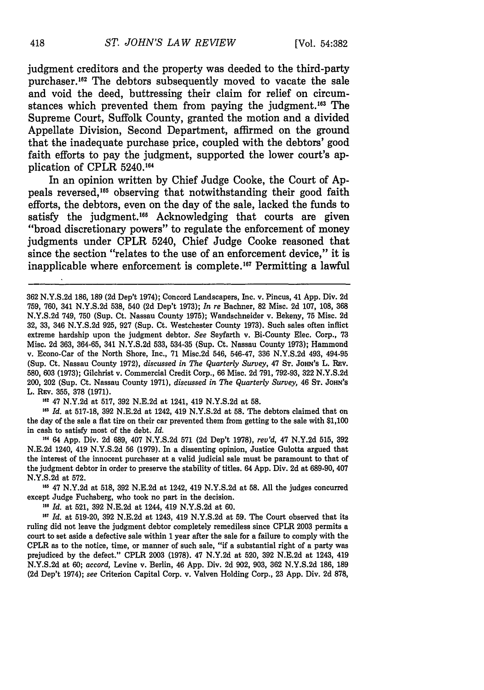judgment creditors and the property was deeded to the third-party purchaser.<sup>162</sup> The debtors subsequently moved to vacate the sale and void the deed, buttressing their claim for relief on circumstances which prevented them from paying the judgment.<sup>163</sup> The Supreme Court, Suffolk County, granted the motion and a divided Appellate Division, Second Department, affirmed on the ground that the inadequate purchase price, coupled with the debtors' good faith efforts to pay the judgment, supported the lower court's application of CPLR 5240.164

In an opinion written **by** Chief Judge Cooke, the Court of **Ap**peals reversed.<sup>165</sup> observing that notwithstanding their good faith efforts, the debtors, even on the day of the sale, lacked the funds to satisfy the judgment.<sup>166</sup> Acknowledging that courts are given "broad discretionary powers" to regulate the enforcement of money judgments under CPLR 5240, Chief Judge Cooke reasoned that since the section "relates to the use of an enforcement device," it is inapplicable where enforcement is complete.<sup>167</sup> Permitting a lawful

**<sup>162</sup>**47 N.Y.2d at 517, 392 N.E.2d at 1241, 419 N.Y.S.2d at 58.

<sup>163</sup> Id. at 517-18, 392 N.E.2d at 1242, 419 N.Y.S.2d at 58. The debtors claimed that on the day of the sale a flat tire on their car prevented them from getting to the sale with \$1,100 in cash to satisfy most of the debt. *Id.*

*"1* 64 App. Div. 2d 689, 407 N.Y.S.2d 571 **(2d** Dep't 1978), *rev'd,* 47 N.Y.2d 515, **392** N.E.2d 1240, 419 N.Y.S.2d 56 (1979). In a dissenting opinion, Justice Gulotta argued that the interest of the innocent purchaser at a valid judicial sale must be paramount to that of the judgment debtor in order to preserve the stability of titles. 64 App. Div. 2d at 689-90, 407 N.Y.S.2d at 572.

<sup>165</sup> 47 N.Y.2d at 518, 392 N.E.2d at 1242, 419 N.Y.S.2d at 58. All the judges concurred except Judge Fuchsberg, who took no part in the decision.

**<sup>16</sup>***Id.* at 521, 392 N.E.2d at 1244, 419 N.Y.S.2d at 60.

*6 Id.* at 519-20, **392** N.E.2d at 1243, 419 N.Y.S.2d at **59.** The Court observed that its ruling did not leave the judgment debtor completely remediless since CPLR 2003 permits a court to set aside a defective sale within 1 year after the sale for a failure to comply with the CPLR as to the notice, time, or manner of such sale, "if a substantial right of a party was prejudiced by the defect." CPLR 2003 (1978). 47 N.Y.2d at 520, 392 N.E.2d at 1243, 419 N.Y.S.2d at 60; *accord,* Levine v. Berlin, 46 App. Div. 2d 902, 903, 362 N.Y.S.2d 186, 189 **(2d** Dep't 1974); *see* Criterion Capital Corp. v. Valven Holding Corp., 23 App. Div. 2d 878,

<sup>362</sup> N.Y.S.2d 186, 189 (2d Dep't 1974); Concord Landscapers, Inc. v. Pincus, 41 App. Div. 2d 759, 760, 341 N.Y.S.2d 538, 540 (2d Dep't 1973); *In re* Bachner, 82 Misc. 2d 107, 108, 368 N.Y.S.2d 749, **750** (Sup. Ct. Nassau County 1975); Wandschneider v. Bekeny, 75 Misc. 2d 32, 33, 346 N.Y.S.2d 925, 927 (Sup. Ct. Westchester County 1973). Such sales often inflict extreme hardship upon the judgment debtor. *See* Seyfarth v. Bi-County Elec. Corp., 73 Misc. 2d 363, 364-65, 341 N.Y.S.2d 533, 534-35 (Sup. Ct. Nassau County 1973); Hammond v. Econo-Car of the North Shore, Inc., 71 Misc.2d 546, 546-47, 336 N.Y.S.2d 493, 494-95 (Sup. Ct. Nassau County 1972), *discussed in The Quarterly Survey,* 47 **ST.** JoHN's L. l~v. 580, 603 (1973); Gilchrist v. Commercial Credit Corp., **66** Misc. 2d 791, 792-93, 322 N.Y.S.2d 200, 202 (Sup. Ct. Nassau County 1971), *discussed in The Quarterly Survey,* 46 **ST. JOHN'S** L. REV. 355, **378** (1971).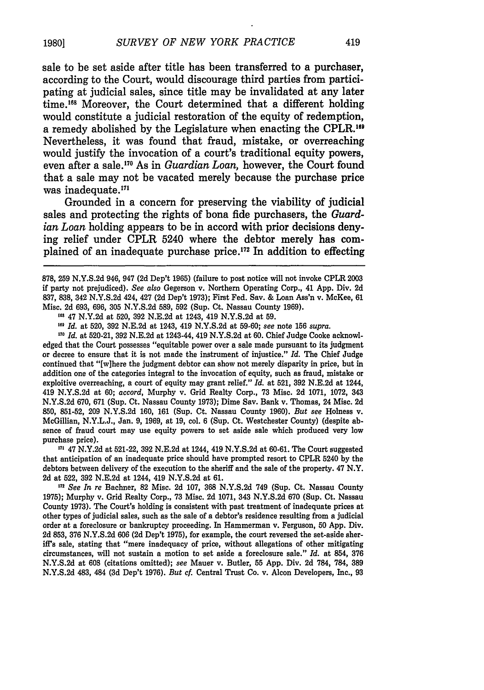sale to be set aside after title has been transferred to a purchaser, according to the Court, would discourage third parties from participating at judicial sales, since title may be invalidated at any later time.<sup>168</sup> Moreover, the Court determined that a different holding would constitute a judicial restoration of the equity of redemption, a remedy abolished **by** the Legislature when enacting the CPLR.<sup>19</sup> Nevertheless, it was found that fraud, mistake, or overreaching would justify the invocation of a court's traditional equity powers, even after a sale.<sup>170</sup> As in *Guardian Loan*, however, the Court found that a sale may not be vacated merely because the purchase price was inadequate.<sup>171</sup>

Grounded in a concern for preserving the viability of judicial sales and protecting the rights of bona fide purchasers, the *Guardian Loan* holding appears to be in accord with prior decisions denying relief under CPLR 5240 where the debtor merely has complained of an inadequate purchase price. $172$  In addition to effecting

**"'** 47 N.Y.2d at 520, 392 N.E.2d at 1243, 419 N.Y.S.2d at 59.

**,e'** *Id.* at 520, 392 N.E.2d at 1243, 419 N.Y.S.2d at 59-60; *see* note 156 *supra.*

,7 *Id.* at 520-21, 392 N.E.2d at 1243-44, 419 N.Y.S.2d at 60. Chief Judge Cooke acknowledged that the Court possesses "equitable power over a sale made pursuant to its judgment or decree to ensure that it is not made the instrument of injustice." *Id.* The Chief Judge continued that "[w]here the judgment debtor can show not merely disparity in price, but in addition one of the categories integral to the invocation of equity, such as fraud, mistake or exploitive overreaching, a court of equity may grant relief." *Id.* at 521, 392 N.E.2d at 1244, 419 N.Y.S.2d at 60; *accord,* Murphy v. Grid Realty Corp., 73 Misc. 2d 1071, 1072, 343 N.Y.S.2d 670, 671 (Sup. Ct. Nassau County 1973); Dime Say. Bank v. Thomas, 24 Misc. 2d 850, 851-52, 209 N.Y.S.2d 160, 161 (Sup. Ct. Nassau County 1960). *But see* Holness v. McGillian, N.Y.L.J., Jan. 9, 1969, at 19, col. 6 (Sup. Ct. Westchester County) (despite absence of fraud court may use equity powers to set aside sale which produced very low purchase price).

<sup>171</sup> 47 N.Y.2d at 521-22, 392 N.E.2d at 1244, 419 N.Y.S.2d at 60-61. The Court suggested that anticipation of an inadequate price should have prompted resort to CPLR 5240 by the debtors between delivery of the execution to the sheriff and the sale of the property. 47 N.Y. **2d** at 522, 392 N.E.2d at 1244, 419 N.Y.S.2d at 61.

<sup>112</sup> See In re Bachner, 82 Misc. 2d 107, 368 N.Y.S.2d 749 (Sup. Ct. Nassau County 1975); Murphy v. Grid Realty Corp., 73 Misc. 2d 1071, 343 N.Y.S.2d 670 (Sup. Ct. Nassau County 1973). The Court's holding is consistent with past treatment of inadequate prices at other types of judicial sales, such as the sale of a debtor's residence resulting from a judicial order at a foreclosure or bankruptcy proceeding. In Hammerman v. Ferguson, 50 App. Div. 2d 853, 376 N.Y.S.2d 606 (2d Dep't 1975), for example, the court reversed the set-aside sheriff's sale, stating that "mere inadequacy of price, without allegations of other mitigating circumstances, will not sustain a motion to set aside a foreclosure sale." *Id.* at 854, 376 N.Y.S.2d at **608** (citations omitted); *see* Mauer v. Butler, **55** App. Div. 2d 784, **784, 389** N.Y.S.2d 483, 484 (3d Dep't 1976). *But cf.* Central Trust Co. v. Alcon Developers, Inc., 93

<sup>878,</sup> **259** N.Y.S.2d 946, 947 **(2d** Dep't 1965) (failure to post notice will not invoke CPLR 2003 if party not prejudiced). *See also* Gegerson v. Northern Operating Corp., 41 App. Div. 2d 837, 838, 342 N.Y.S.2d 424, 427 (2d Dep't 1973); First Fed. Sav. & Loan Ass'n v. McKee, 61 Misc. 2d 693, 696, 305 N.Y.S.2d 589, 592 (Sup. Ct. Nassau County 1969).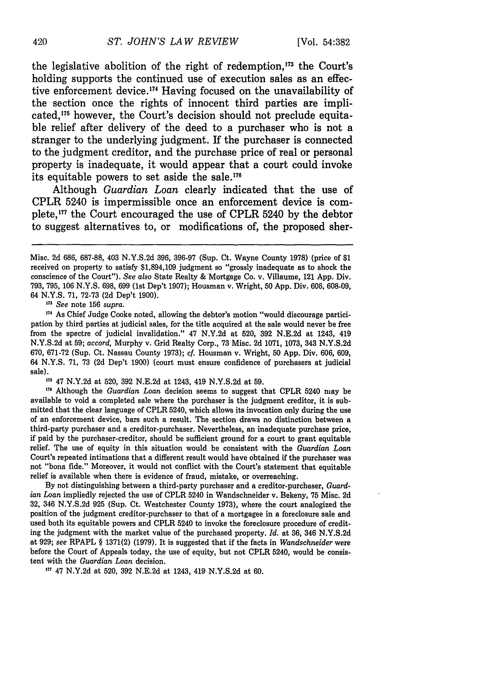the legislative abolition of the right of redemption,<sup>173</sup> the Court's holding supports the continued use of execution sales as an effective enforcement device.<sup>174</sup> Having focused on the unavailability of the section once the rights of innocent third parties are implicated,175 however, the Court's decision should not preclude equitable relief after delivery of the deed to a purchaser who is not a stranger to the underlying judgment. **If** the purchaser is connected to the judgment creditor, and the purchase price of real or personal property is inadequate, it would appear that a court could invoke its equitable powers to set aside the sale.<sup>176</sup>

Although *Guardian Loan* clearly indicated that the use of CPLR 5240 is impermissible once an enforcement device is complete,<sup>177</sup> the Court encouraged the use of CPLR 5240 by the debtor to suggest alternatives to, or modifications of, the proposed sher-

**<sup>173</sup>***See* note 156 *supra.*

**17,** As Chief Judge Cooke noted, allowing the debtor's motion "would discourage participation by third parties at judicial sales, for the title acquired at the sale would never be free from the spectre of judicial invalidation." 47 N.Y.2d at 520, 392 N.E.2d at 1243, 419 N.Y.S.2d at 59; *accord,* Murphy v. Grid Realty Corp., 73 Misc. 2d 1071, 1073, 343 N.Y.S.2d 670, 671-72 (Sup. Ct. Nassau County 1973); cf. Housman v. Wright, 50 App. Div. 606, 609, 64 **N.Y.S. 71, 73 (2d** Dep't 1900) (court must ensure confidence of purchasers at judicial sale).

**<sup>175</sup>**47 N.Y.2d at 520, 392 N.E.2d at 1243, 419 N.Y.S.2d at 59.

<sup>176</sup> Although the *Guardian Loan* decision seems to suggest that CPLR 5240 may be available to void a completed sale where the purchaser is the judgment creditor, it is submitted that the clear language of CPLR 5240, which allows its invocation only during the use of an enforcement device, bars such a result. The section draws no distinction between a third-party purchaser and a creditor-purchaser. Nevertheless, an inadequate purchase price, if paid by the purchaser-creditor, should be sufficient ground for a court to grant equitable relief. The use of equity in this situation would be consistent with the *Guardian Loan* Court's repeated intimations that a different result would have obtained if the purchaser was not "bona fide." Moreover, it would not conflict with the Court's statement that equitable relief is available when there is evidence of fraud, mistake, or overreaching.

By not distinguishing between a third-party purchaser and a creditor-purchaser, *Guardian Loan* impliedly rejected the use of CPLR 5240 in Wandschneider v. Bekeny, 75 Misc. 2d **32,** 346 N.Y.S.2d 925 (Sup. Ct. Westchester County 1973), where the court analogized the position of the judgment creditor-purchaser to that of a mortgagee in a foreclosure sale and used both its equitable powers and CPLR 5240 to invoke the foreclosure procedure of crediting the judgment with the market value of the purchased property. *Id.* at 36, 346 N.Y.S.2d at 929; see RPAPL § 1371(2) (1979). It is suggested that if the facts in *Wandschneider* were before the Court of Appeals today, the use of equity, but not CPLR 5240, would be consistent with the *Guardian Loan* decision.

**17** 47 **N.Y.2d** at 520, 392 N.E.2d at 1243, 419 N.Y.S.2d at 60.

Misc. 2d 686, 687-88, 403 N.Y.S.2d 396, 396-97 (Sup. Ct. Wayne County 1978) (price of \$1 received on property to satisfy \$1,894,109 judgment so "grossly inadequate as to shock the conscience of the Court"). *See also* State Realty & Mortgage Co. v. Villaume, 121 App. Div. 793, 795, 106 N.Y.S. 698, 699 (1st Dep't 1907); Housman v. Wright, 50 App. Div. 606, 608-09, 64 N.Y.S. 71, 72-73 (2d Dep't 1900).